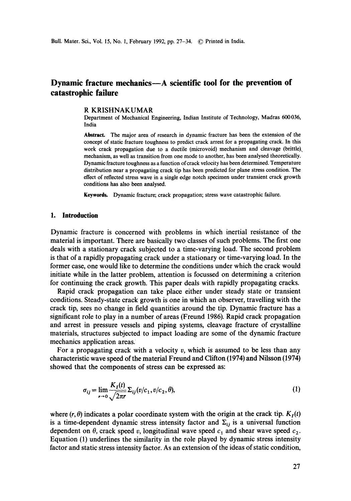# **Dynamic fracture mechanics—A scientific tool for the prevention of catastrophic failure**

#### R KRISHNAKUMAR

Department of Mechanical Engineering, Indian Institute of Technology, Madras 600036, India

**Abstract.** The major area of research in dynamic fracture has been the extension of the concept of static fracture toughness to predict crack arrest for a propagating crack. In this work crack propagation due to a ductile (microvoid) mechanism and cleavage (brittle) mechanism, as well as transition from one mode to another, has been analysed theoretically. Dynamic fracture toughness as a function of crack velocity has been determined. Temperature distribution near a propagating crack tip has been predicted for plane stress condition. The effect of reflected stress wave in a single edge notch specimen under transient crack growth conditions has also been analysed.

Keywords. Dynamic fracture; crack propagation; stress wave catastrophic failure.

#### **1. Introduction**

Dynamic fracture is concerned with problems in which inertial resistance of the material is important. There are basically two classes of such problems. The first one deals with a stationary crack subjected to a time-varying load. The second problem is that of a rapidly propagating crack under a stationary or time-varying load. In the former case, one would like to determine the conditions under which the crack would initiate while in the latter problem, attention is focussed on determining a criterion for continuing the crack growth. This paper deals with rapidly propagating cracks.

Rapid crack propagation can take place either under steady state or transient conditions. Steady-state crack growth is one in which an observer, travelling with the crack tip, sees no change in field quantities around the tip. Dynamic fracture has a significant role to play in a number of areas (Freund 1986). Rapid crack propagation and arrest in pressure vessels and piping systems, cleavage fracture of crystalline materials, structures subjected to impact loading are some of the dynamic fracture mechanics application areas.

For a propagating crack with a velocity v, which is assumed to be less than any characteristic wave speed of the material Freund and Clifton (1974) and Nilsson (1974) showed that the components of stress can be expressed as:

$$
\sigma_{ij} = \lim_{r \to 0} \frac{K_I(t)}{\sqrt{2\pi r}} \Sigma_{ij} (v/c_1, v/c_2, \theta), \tag{1}
$$

where  $(r, \theta)$  indicates a polar coordinate system with the origin at the crack tip.  $K_I(t)$ is a time-dependent dynamic stress intensity factor and  $\Sigma_{ij}$  is a universal function dependent on  $\theta$ , crack speed v, longitudinal wave speed  $c_1$  and shear wave speed  $c_2$ . Equation (1) underlines the similarity in the role played by dynamic stress intensity factor and static stress intensity factor. As an extension of the ideas of static condition,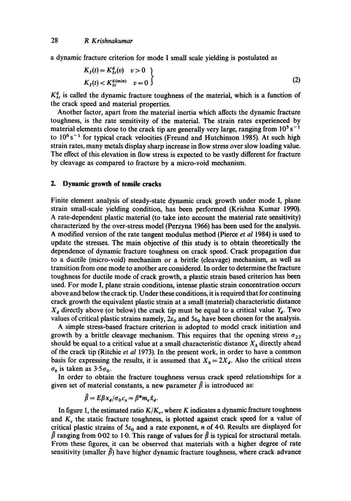a dynamic fracture criterion for mode I small scale yielding is postulated as

$$
K_I(t) = K_{Ic}^d(v) \quad v > 0
$$
  
\n
$$
K_I(t) < K_{Ic}^{d(min)} \quad v = 0
$$
 (2)

 $K_{Ic}^{d}$  is called the dynamic fracture toughness of the material, which is a function of the crack speed and material properties.

Another factor, apart from the material inertia which affects the dynamic fracture toughness, is the rate sensitivity of the material. The strain rates experienced by material elements close to the crack tip are generally very large, ranging from  $10^5$  s<sup>-1</sup> to  $10^6$  s<sup>-1</sup> for typical crack velocities (Freund and Hutchinson 1985). At such high strain rates, many metals display sharp increase in flow stress over slow loading value. The effect of this elevation in flow stress is expected to be vastly different for fracture by cleavage as compared to fracture by a micro-void mechanism.

#### **2. Dynamic growth of tensile cracks**

Finite element analysis of steady-state dynamic crack growth under mode I, plane strain small-scale yielding condition, has been performed (Krishna Kumar 1990). A rate-dependent plastic material (to take into account the material rate sensitivity) characterized by the over-stress model (Perzyna 1966) has been used for the analysis. A modified version of the rate tangent modulus method (Pierce *et al* 1984) is used to update the stresses. The main objective of this study is to obtain theoretically the dependence of dynamic fracture toughness on crack speed. Crack propagation due to a ductile (micro-void) mechanism or a brittle (cleavage) mechanism, as well as transition from one mode to another are considered. In order to determine the fracture toughness for ductile mode of crack growth, a plastic strain based criterion has been used. For mode I, plane strain conditions, intense plastic strain concentration occurs above and below the crack tip. Under these conditions, it is required that for continuing crack growth the equivalent plastic strain at a small (material) characteristic distance  $X_d$  directly above (or below) the crack tip must be equal to a critical value  $Y_d$ . Two values of critical plastic strains namely,  $2\varepsilon_0$  and  $5\varepsilon_0$  have been chosen for the analysis.

A simple stress-based fracture criterion is adopted to model crack initiation and growth by a brittle cleavage mechanism. This requires that the opening stress  $\sigma_{22}$ should be equal to a critical value at a small characteristic distance  $X<sub>b</sub>$  directly ahead of the crack tip (Ritchie *et al* 1973). In the present work, in order to have a common basis for expressing the results, it is assumed that  $X_b = 2X_d$ . Also the critical stress  $\sigma_b$  is taken as 3.5 $\sigma_0$ .

In order to obtain the fracture toughness versus crack speed relationships for a given set of material constants, a new parameter  $\hat{\beta}$  is introduced as:

$$
\beta = E\beta x_d/\sigma_0 c_s = \beta^* m_s \hat{x}_d.
$$

In figure 1, the estimated ratio  $K/K_c$ , where K indicates a dynamic fracture toughness and  $K_c$  the static fracture toughness, is plotted against crack speed for a value of critical plastic strains of  $5\varepsilon_0$  and a rate exponent, n of 4.0. Results are displayed for  $\hat{\beta}$  ranging from 0.02 to 1.0. This range of values for  $\hat{\beta}$  is typical for structural metals. From these figures, it can be observed that materials with a higher degree of rate sensitivity (smaller  $\hat{\beta}$ ) have higher dynamic fracture toughness, where crack advance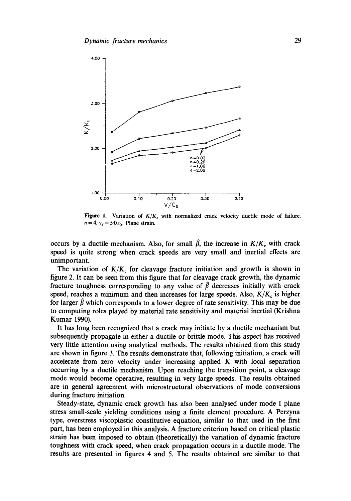

Figure 1. Variation of  $K/K_c$  with normalized crack velocity ductile mode of failure.  $n = 4$ .  $\gamma_d = 5.0 \varepsilon_0$ . Plane strain.

occurs by a ductile mechanism. Also, for small  $\hat{\beta}$ , the increase in  $K/K_c$  with crack speed is quite strong when crack speeds are very small and inertial effects are unimportant.

The variation of  $K/K_c$  for cleavage fracture initiation and growth is shown in figure 2. It can be seen from this figure that for cleavage crack growth, the dynamic fracture toughness corresponding to any value of  $\hat{\beta}$  decreases initially with crack speed, reaches a minimum and then increases for large speeds. Also,  $K/K_c$  is higher for larger  $\hat{\beta}$  which corresponds to a lower degree of rate sensitivity. This may be due to computing roles played by material rate sensitivity and material inertial (Krishna Kumar 1990).

It has long been recognized that a crack may initiate by a ductile mechanism but subsequently propagate in either a ductile or brittle mode. This aspect has received very little attention using analytical methods. The results obtained from this study are shown in figure 3. The results demonstrate that, following initiation, a crack will accelerate from zero velocity under increasing applied K with local separation occurring by a ductile mechanism. Upon reaching the transition point, a cleavage mode would become operative, resulting in very large speeds. The results obtained are in general agreement with microstructural observations of mode conversions during fracture initiation.

Steady-state, dynamic crack growth has also been analysed under mode I plane stress small-scale yielding conditions using a finite element procedure. A Perzyna type, overstress viscoplastic constitutive equation, similar to that used in the first part, has been employed in this analysis. A fracture criterion based on critical plastic strain has been imposed to obtain (theoretically) the variation of dynamic fracture toughness with crack speed, when crack propagation occurs in a ductile mode. The results are presented in figures 4 and 5. The results obtained are similar to that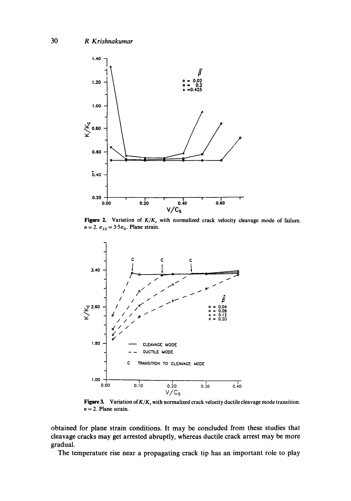

Figure 2. Variation of  $K/K_c$  with normalized crack velocity cleavage mode of failure.  $n = 2$ .  $\sigma_{22} = 3.5\sigma_0$ . Plane strain.



**Figure 3.** Variation of  $K/K_c$  with normalized crack velocity ductile cleavage mode transition. **n = 2. Plane strain.** 

**obtained for plane strain conditions. It may be concluded from these studies that cleavage cracks may get arrested abruptly, whereas ductile crack arrest may be more gradual.** 

**The temperature rise near a propagating crack tip has an important role to play**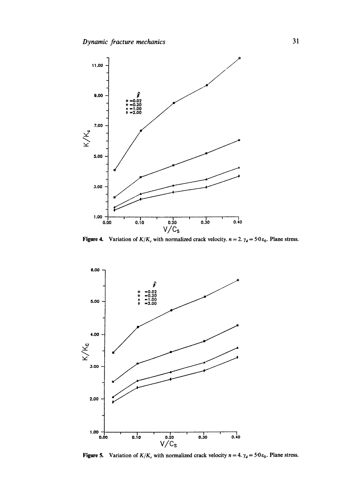

**Figure 4.** Variation of  $K/K_c$  with normalized crack velocity,  $n = 2$ ,  $\gamma_d = 5.0 \varepsilon_0$ . Plane stress.



**Figure 5.** Variation of  $K/K_c$  with normalized crack velocity  $n = 4$ .  $\gamma_d = 5.0 \varepsilon_0$ . Plane stress.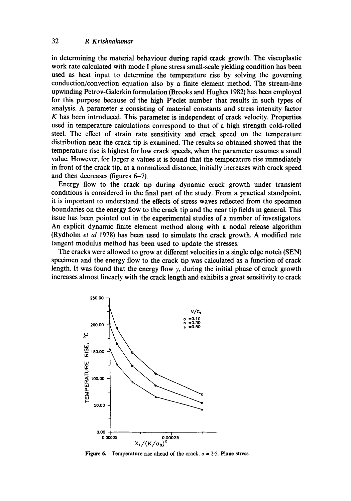### 32 *R Krishnakumar*

in determining the material behaviour during rapid crack growth. The viscoplastic work rate calculated with mode I plane stress small-scale yielding condition has been used as heat input to determine the temperature rise by solving the governing conduction/convection equation also by a finite element method. The stream-line upwinding Petrov-Galerkin formulation (Brooks and Hughes 1982) has been employed for this purpose because of the high P'eclet number that results in such types of analysis. A parameter  $\alpha$  consisting of material constants and stress intensity factor K has been introduced. This parameter is independent of crack velocity. Properties used in temperature calculations correspond to that of a high strength cold-rolled steel. The effect of strain rate sensitivity and crack speed on the temperature distribution near the crack tip is examined. The results so obtained showed that the temperature rise is highest for low crack speeds, when the parameter assumes a small value. However, for larger  $\alpha$  values it is found that the temperature rise immediately in front of the crack tip, at a normalized distance, initially increases with crack speed and then decreases (figures 6-7).

Energy flow to the crack tip during dynamic crack growth under transient conditions is considered in the final part of the study. From a practical standpoint, it is important to understand the effects of stress waves reflected from the specimen boundaries on the energy flow to the crack tip and the near tip fields in general. This issue has been pointed out in the experimental studies of a number of investigators. An explicit dynamic finite element method along with a nodal release algorithm (Rydholm *et al* 1978) has been used to simulate the crack growth. A modified rate tangent modulus method has been used to update the stresses.

The cracks were allowed to grow at different velocities in a single edge notch (SEN) specimen and the energy flow to the crack tip was calculated as a function of crack length. It was found that the energy flow  $\gamma$ , during the initial phase of crack growth increases almost linearly with the crack length and exhibits a great sensitivity to crack



Figure 6. Temperature rise ahead of the crack.  $\alpha = 2.5$ . Plane stress.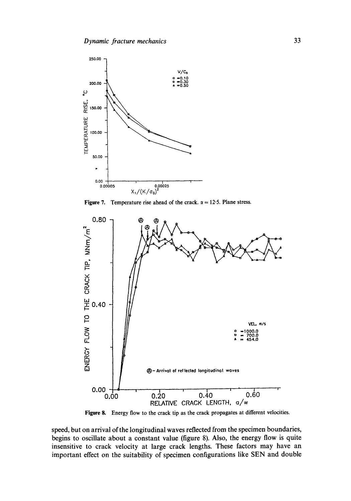

**Figure 7.** Temperature rise ahead of the crack.  $\alpha = 12.5$ . Plane stress.



**Figure** 8. Energy flow to the crack tip as the crack propagates at different velocities.

speed, but on arrival of the longitudinal waves reflected from the specimen boundaries, begins to oscillate about a constant value (figure 8). Also, the energy flow is quite insensitive to crack velocity at large crack lengths. These factors may have an important effect on the suitability of specimen configurations like SEN and double